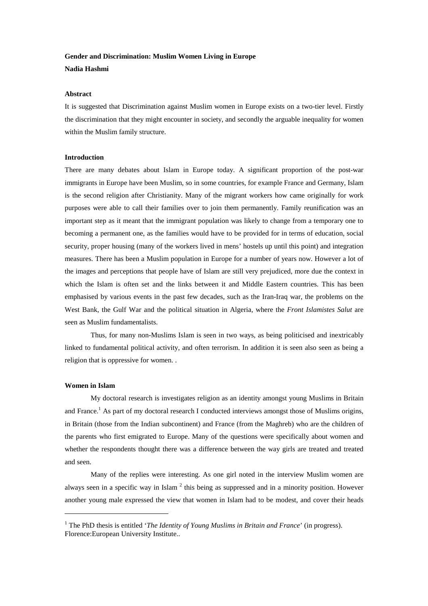# **Gender and Discrimination: Muslim Women Living in Europe Nadia Hashmi**

## **Abstract**

It is suggested that Discrimination against Muslim women in Europe exists on a two-tier level. Firstly the discrimination that they might encounter in society, and secondly the arguable inequality for women within the Muslim family structure.

## **Introduction**

There are many debates about Islam in Europe today. A significant proportion of the post-war immigrants in Europe have been Muslim, so in some countries, for example France and Germany, Islam is the second religion after Christianity. Many of the migrant workers how came originally for work purposes were able to call their families over to join them permanently. Family reunification was an important step as it meant that the immigrant population was likely to change from a temporary one to becoming a permanent one, as the families would have to be provided for in terms of education, social security, proper housing (many of the workers lived in mens' hostels up until this point) and integration measures. There has been a Muslim population in Europe for a number of years now. However a lot of the images and perceptions that people have of Islam are still very prejudiced, more due the context in which the Islam is often set and the links between it and Middle Eastern countries. This has been emphasised by various events in the past few decades, such as the Iran-Iraq war, the problems on the West Bank, the Gulf War and the political situation in Algeria, where the *Front Islamistes Salut* are seen as Muslim fundamentalists.

Thus, for many non-Muslims Islam is seen in two ways, as being politicised and inextricably linked to fundamental political activity, and often terrorism. In addition it is seen also seen as being a religion that is oppressive for women. .

## **Women in Islam**

My doctoral research is investigates religion as an identity amongst young Muslims in Britain and France.<sup>1</sup> As part of my doctoral research I conducted interviews amongst those of Muslims origins, in Britain (those from the Indian subcontinent) and France (from the Maghreb) who are the children of the parents who first emigrated to Europe. Many of the questions were specifically about women and whether the respondents thought there was a difference between the way girls are treated and treated and seen.

Many of the replies were interesting. As one girl noted in the interview Muslim women are always seen in a specific way in Islam<sup>2</sup> this being as suppressed and in a minority position. However another young male expressed the view that women in Islam had to be modest, and cover their heads

<sup>1</sup> The PhD thesis is entitled '*The Identity of Young Muslims in Britain and France*' (in progress). Florence:European University Institute..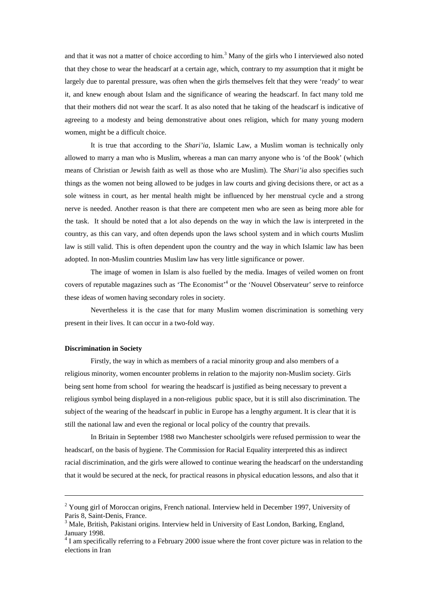and that it was not a matter of choice according to him.<sup>3</sup> Many of the girls who I interviewed also noted that they chose to wear the headscarf at a certain age, which, contrary to my assumption that it might be largely due to parental pressure, was often when the girls themselves felt that they were 'ready' to wear it, and knew enough about Islam and the significance of wearing the headscarf. In fact many told me that their mothers did not wear the scarf. It as also noted that he taking of the headscarf is indicative of agreeing to a modesty and being demonstrative about ones religion, which for many young modern women, might be a difficult choice.

It is true that according to the *Shari'ia*, Islamic Law, a Muslim woman is technically only allowed to marry a man who is Muslim, whereas a man can marry anyone who is 'of the Book' (which means of Christian or Jewish faith as well as those who are Muslim). The *Shari'ia* also specifies such things as the women not being allowed to be judges in law courts and giving decisions there, or act as a sole witness in court, as her mental health might be influenced by her menstrual cycle and a strong nerve is needed. Another reason is that there are competent men who are seen as being more able for the task. It should be noted that a lot also depends on the way in which the law is interpreted in the country, as this can vary, and often depends upon the laws school system and in which courts Muslim law is still valid. This is often dependent upon the country and the way in which Islamic law has been adopted. In non-Muslim countries Muslim law has very little significance or power.

The image of women in Islam is also fuelled by the media. Images of veiled women on front covers of reputable magazines such as 'The Economist'4 or the 'Nouvel Observateur' serve to reinforce these ideas of women having secondary roles in society.

Nevertheless it is the case that for many Muslim women discrimination is something very present in their lives. It can occur in a two-fold way.

# **Discrimination in Society**

Firstly, the way in which as members of a racial minority group and also members of a religious minority, women encounter problems in relation to the majority non-Muslim society. Girls being sent home from school for wearing the headscarf is justified as being necessary to prevent a religious symbol being displayed in a non-religious public space, but it is still also discrimination. The subject of the wearing of the headscarf in public in Europe has a lengthy argument. It is clear that it is still the national law and even the regional or local policy of the country that prevails.

In Britain in September 1988 two Manchester schoolgirls were refused permission to wear the headscarf, on the basis of hygiene. The Commission for Racial Equality interpreted this as indirect racial discrimination, and the girls were allowed to continue wearing the headscarf on the understanding that it would be secured at the neck, for practical reasons in physical education lessons, and also that it

<sup>&</sup>lt;sup>2</sup> Young girl of Moroccan origins, French national. Interview held in December 1997, University of Paris 8, Saint-Denis, France.

 $3$  Male, British, Pakistani origins. Interview held in University of East London, Barking, England, January 1998.

<sup>&</sup>lt;sup>4</sup> I am specifically referring to a February 2000 issue where the front cover picture was in relation to the elections in Iran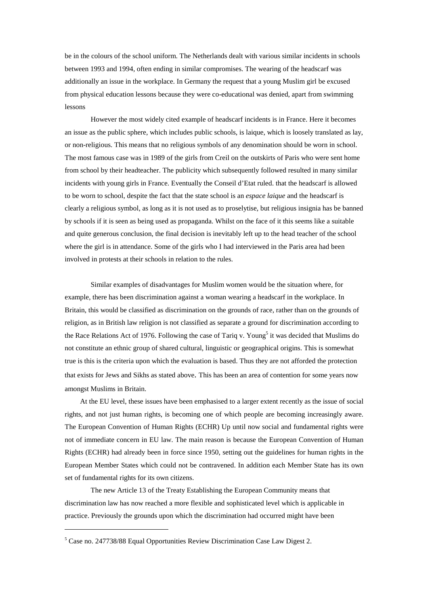be in the colours of the school uniform. The Netherlands dealt with various similar incidents in schools between 1993 and 1994, often ending in similar compromises. The wearing of the headscarf was additionally an issue in the workplace. In Germany the request that a young Muslim girl be excused from physical education lessons because they were co-educational was denied, apart from swimming lessons

However the most widely cited example of headscarf incidents is in France. Here it becomes an issue as the public sphere, which includes public schools, is laique, which is loosely translated as lay, or non-religious. This means that no religious symbols of any denomination should be worn in school. The most famous case was in 1989 of the girls from Creil on the outskirts of Paris who were sent home from school by their headteacher. The publicity which subsequently followed resulted in many similar incidents with young girls in France. Eventually the Conseil d'Etat ruled. that the headscarf is allowed to be worn to school, despite the fact that the state school is an *espace laique* and the headscarf is clearly a religious symbol, as long as it is not used as to proselytise, but religious insignia has be banned by schools if it is seen as being used as propaganda. Whilst on the face of it this seems like a suitable and quite generous conclusion, the final decision is inevitably left up to the head teacher of the school where the girl is in attendance. Some of the girls who I had interviewed in the Paris area had been involved in protests at their schools in relation to the rules.

Similar examples of disadvantages for Muslim women would be the situation where, for example, there has been discrimination against a woman wearing a headscarf in the workplace. In Britain, this would be classified as discrimination on the grounds of race, rather than on the grounds of religion, as in British law religion is not classified as separate a ground for discrimination according to the Race Relations Act of 1976. Following the case of Tariq v. Young<sup>5</sup> it was decided that Muslims do not constitute an ethnic group of shared cultural, linguistic or geographical origins. This is somewhat true is this is the criteria upon which the evaluation is based. Thus they are not afforded the protection that exists for Jews and Sikhs as stated above. This has been an area of contention for some years now amongst Muslims in Britain.

At the EU level, these issues have been emphasised to a larger extent recently as the issue of social rights, and not just human rights, is becoming one of which people are becoming increasingly aware. The European Convention of Human Rights (ECHR) Up until now social and fundamental rights were not of immediate concern in EU law. The main reason is because the European Convention of Human Rights (ECHR) had already been in force since 1950, setting out the guidelines for human rights in the European Member States which could not be contravened. In addition each Member State has its own set of fundamental rights for its own citizens.

The new Article 13 of the Treaty Establishing the European Community means that discrimination law has now reached a more flexible and sophisticated level which is applicable in practice. Previously the grounds upon which the discrimination had occurred might have been

 $5$  Case no. 247738/88 Equal Opportunities Review Discrimination Case Law Digest 2.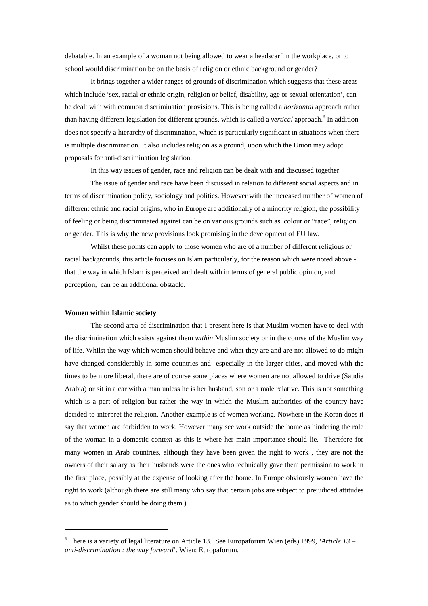debatable. In an example of a woman not being allowed to wear a headscarf in the workplace, or to school would discrimination be on the basis of religion or ethnic background or gender?

It brings together a wider ranges of grounds of discrimination which suggests that these areas which include 'sex, racial or ethnic origin, religion or belief, disability, age or sexual orientation', can be dealt with with common discrimination provisions. This is being called a *horizontal* approach rather than having different legislation for different grounds, which is called a *vertical* approach.<sup>6</sup> In addition does not specify a hierarchy of discrimination, which is particularly significant in situations when there is multiple discrimination. It also includes religion as a ground, upon which the Union may adopt proposals for anti-discrimination legislation.

In this way issues of gender, race and religion can be dealt with and discussed together.

The issue of gender and race have been discussed in relation to different social aspects and in terms of discrimination policy, sociology and politics. However with the increased number of women of different ethnic and racial origins, who in Europe are additionally of a minority religion, the possibility of feeling or being discriminated against can be on various grounds such as colour or "race", religion or gender. This is why the new provisions look promising in the development of EU law.

Whilst these points can apply to those women who are of a number of different religious or racial backgrounds, this article focuses on Islam particularly, for the reason which were noted above that the way in which Islam is perceived and dealt with in terms of general public opinion, and perception, can be an additional obstacle.

#### **Women within Islamic society**

The second area of discrimination that I present here is that Muslim women have to deal with the discrimination which exists against them *within* Muslim society or in the course of the Muslim way of life. Whilst the way which women should behave and what they are and are not allowed to do might have changed considerably in some countries and especially in the larger cities, and moved with the times to be more liberal, there are of course some places where women are not allowed to drive (Saudia Arabia) or sit in a car with a man unless he is her husband, son or a male relative. This is not something which is a part of religion but rather the way in which the Muslim authorities of the country have decided to interpret the religion. Another example is of women working. Nowhere in the Koran does it say that women are forbidden to work. However many see work outside the home as hindering the role of the woman in a domestic context as this is where her main importance should lie. Therefore for many women in Arab countries, although they have been given the right to work , they are not the owners of their salary as their husbands were the ones who technically gave them permission to work in the first place, possibly at the expense of looking after the home. In Europe obviously women have the right to work (although there are still many who say that certain jobs are subject to prejudiced attitudes as to which gender should be doing them.)

<sup>6</sup> There is a variety of legal literature on Article 13. See Europaforum Wien (eds) 1999*, 'Article 13 – anti-discrimination : the way forward*'. Wien: Europaforum.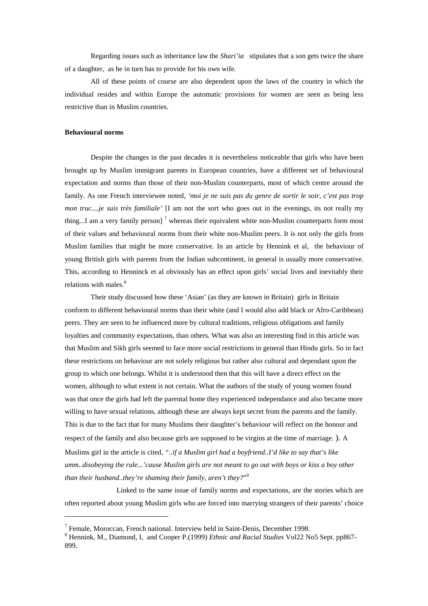Regarding issues such as inheritance law the *Shari'ia* stipulates that a son gets twice the share of a daughter, as he in turn has to provide for his own wife.

All of these points of course are also dependent upon the laws of the country in which the individual resides and within Europe the automatic provisions for women are seen as being less restrictive than in Muslim countries.

# **Behavioural norms**

Despite the changes in the past decades it is nevertheless noticeable that girls who have been brought up by Muslim immigrant parents in European countries, have a different set of behavioural expectation and norms than those of their non-Muslim counterparts, most of which centre around the family. As one French interviewee noted*, 'moi je ne suis pas du genre de sortir le soir, c'est pas trop mon truc....je suis très familiale'* [I am not the sort who goes out in the evenings, its not really my thing...I am a very family person]<sup>7</sup> whereas their equivalent white non-Muslim counterparts form most of their values and behavioural norms from their white non-Muslim peers. It is not only the girls from Muslim families that might be more conservative. In an article by Hennink et al, the behaviour of young British girls with parents from the Indian subcontinent, in general is usually more conservative. This, according to Henninck et al obviously has an effect upon girls' social lives and inevitably their relations with males.<sup>8</sup>

Their study discussed how these 'Asian' (as they are known in Britain) girls in Britain conform to different behavioural norms than their white (and I would also add black or Afro-Caribbean) peers. They are seen to be influenced more by cultural traditions, religious obligations and family loyalties and community expectations, than others. What was also an interesting find in this article was that Muslim and Sikh girls seemed to face more social restrictions in general than Hindu girls. So in fact these restrictions on behaviour are not solely religious but rather also cultural and dependant upon the group to which one belongs. Whilst it is understood then that this will have a direct effect on the women, although to what extent is not certain. What the authors of the study of young women found was that once the girls had left the parental home they experienced independance and also became more willing to have sexual relations, although these are always kept secret from the parents and the family. This is due to the fact that for many Muslims their daughter's behaviour will reflect on the honour and respect of the family and also because girls are supposed to be virgins at the time of marriage. ). A Muslims girl in the article is cited, *"..if a Muslim girl had a boyfriend..I'd like to say that's like umm..disobeying the rule...'cause Muslim girls are not meant to go out with boys or kiss a boy other than their husband..they're shaming their family, aren't they?*" 9

Linked to the same issue of family norms and expectations, are the stories which are often reported about young Muslim girls who are forced into marrying strangers of their parents' choice

<sup>7</sup> Female, Moroccan, French national. Interview held in Saint-Denis, December 1998.

<sup>8</sup> Hennink, M., Diamond, I, and Cooper P.(1999) *Ethnic and Racial Studies* Vol22 No5 Sept. pp867- 899.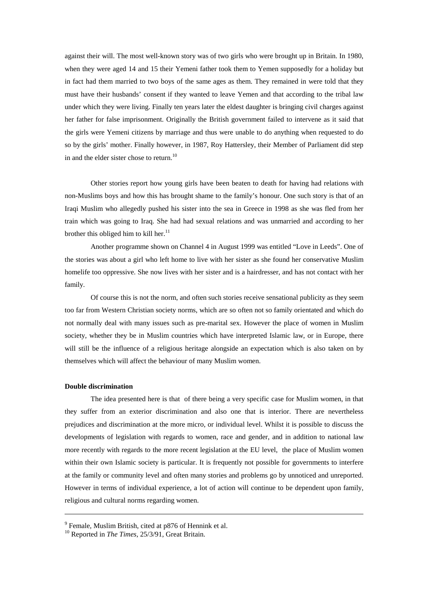against their will. The most well-known story was of two girls who were brought up in Britain. In 1980, when they were aged 14 and 15 their Yemeni father took them to Yemen supposedly for a holiday but in fact had them married to two boys of the same ages as them. They remained in were told that they must have their husbands' consent if they wanted to leave Yemen and that according to the tribal law under which they were living. Finally ten years later the eldest daughter is bringing civil charges against her father for false imprisonment. Originally the British government failed to intervene as it said that the girls were Yemeni citizens by marriage and thus were unable to do anything when requested to do so by the girls' mother. Finally however, in 1987, Roy Hattersley, their Member of Parliament did step in and the elder sister chose to return.<sup>10</sup>

Other stories report how young girls have been beaten to death for having had relations with non-Muslims boys and how this has brought shame to the family's honour. One such story is that of an Iraqi Muslim who allegedly pushed his sister into the sea in Greece in 1998 as she was fled from her train which was going to Iraq. She had had sexual relations and was unmarried and according to her brother this obliged him to kill her. $11$ 

Another programme shown on Channel 4 in August 1999 was entitled "Love in Leeds". One of the stories was about a girl who left home to live with her sister as she found her conservative Muslim homelife too oppressive. She now lives with her sister and is a hairdresser, and has not contact with her family.

Of course this is not the norm, and often such stories receive sensational publicity as they seem too far from Western Christian society norms, which are so often not so family orientated and which do not normally deal with many issues such as pre-marital sex. However the place of women in Muslim society, whether they be in Muslim countries which have interpreted Islamic law, or in Europe, there will still be the influence of a religious heritage alongside an expectation which is also taken on by themselves which will affect the behaviour of many Muslim women.

#### **Double discrimination**

The idea presented here is that of there being a very specific case for Muslim women, in that they suffer from an exterior discrimination and also one that is interior. There are nevertheless prejudices and discrimination at the more micro, or individual level. Whilst it is possible to discuss the developments of legislation with regards to women, race and gender, and in addition to national law more recently with regards to the more recent legislation at the EU level, the place of Muslim women within their own Islamic society is particular. It is frequently not possible for governments to interfere at the family or community level and often many stories and problems go by unnoticed and unreported. However in terms of individual experience, a lot of action will continue to be dependent upon family, religious and cultural norms regarding women.

 $9$  Female, Muslim British, cited at p876 of Hennink et al.

<sup>10</sup> Reported in *The Times*, 25/3/91, Great Britain.